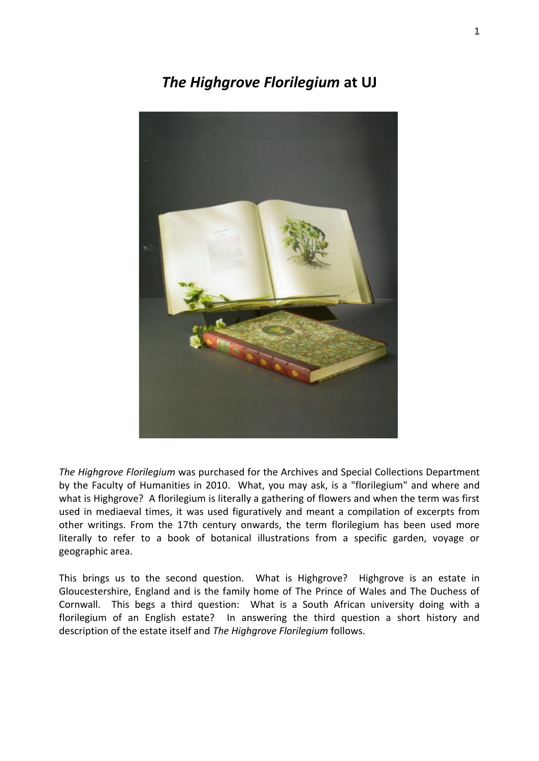# *The Highgrove Florilegium* **at UJ**



*The Highgrove Florilegium* was purchased for the Archives and Special Collections Department by the Faculty of Humanities in 2010. What, you may ask, is a "florilegium" and where and what is Highgrove? A florilegium is literally a gathering of flowers and when the term was first used in mediaeval times, it was used figuratively and meant a compilation of excerpts from other writings. From the 17th century onwards, the term florilegium has been used more literally to refer to a book of botanical illustrations from a specific garden, voyage or geographic area.

This brings us to the second question. What is Highgrove? Highgrove is an estate in Gloucestershire, England and is the family home of The Prince of Wales and The Duchess of Cornwall. This begs a third question: What is a South African university doing with a florilegium of an English estate? In answering the third question a short history and description of the estate itself and *The Highgrove Florilegium* follows.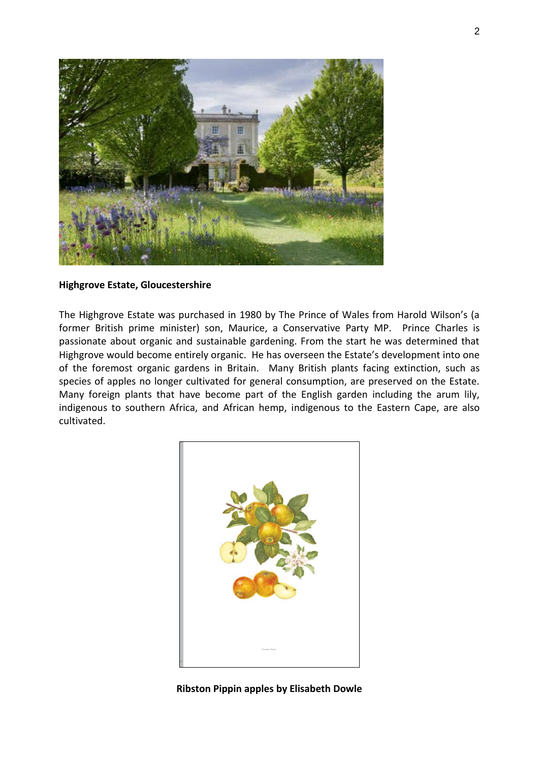

### **Highgrove Estate, Gloucestershire**

The Highgrove Estate was purchased in 1980 by The Prince of Wales from Harold Wilson's (a former British prime minister) son, Maurice, a Conservative Party MP. Prince Charles is passionate about organic and sustainable gardening. From the start he was determined that Highgrove would become entirely organic. He has overseen the Estate's development into one of the foremost organic gardens in Britain. Many British plants facing extinction, such as species of apples no longer cultivated for general consumption, are preserved on the Estate. Many foreign plants that have become part of the English garden including the arum lily, indigenous to southern Africa, and African hemp, indigenous to the Eastern Cape, are also cultivated.



**Ribston Pippin apples by Elisabeth Dowle**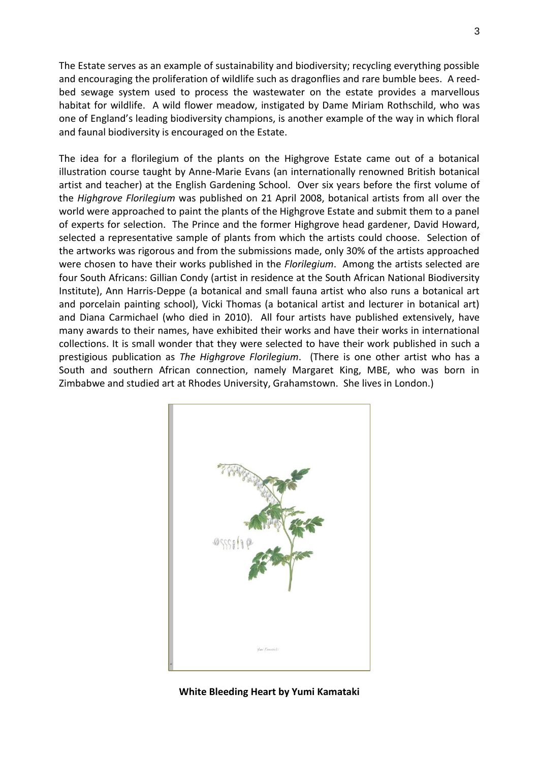The Estate serves as an example of sustainability and biodiversity; recycling everything possible and encouraging the proliferation of wildlife such as dragonflies and rare bumble bees. A reedbed sewage system used to process the wastewater on the estate provides a marvellous habitat for wildlife. A wild flower meadow, instigated by Dame Miriam Rothschild, who was one of England's leading biodiversity champions, is another example of the way in which floral and faunal biodiversity is encouraged on the Estate.

The idea for a florilegium of the plants on the Highgrove Estate came out of a botanical illustration course taught by Anne-Marie Evans (an internationally renowned British botanical artist and teacher) at the English Gardening School. Over six years before the first volume of the *Highgrove Florilegium* was published on 21 April 2008, botanical artists from all over the world were approached to paint the plants of the Highgrove Estate and submit them to a panel of experts for selection. The Prince and the former Highgrove head gardener, David Howard, selected a representative sample of plants from which the artists could choose. Selection of the artworks was rigorous and from the submissions made, only 30% of the artists approached were chosen to have their works published in the *Florilegium*. Among the artists selected are four South Africans: Gillian Condy (artist in residence at the South African National Biodiversity Institute), Ann Harris-Deppe (a botanical and small fauna artist who also runs a botanical art and porcelain painting school), Vicki Thomas (a botanical artist and lecturer in botanical art) and Diana Carmichael (who died in 2010). All four artists have published extensively, have many awards to their names, have exhibited their works and have their works in international collections. It is small wonder that they were selected to have their work published in such a prestigious publication as *The Highgrove Florilegium*. (There is one other artist who has a South and southern African connection, namely Margaret King, MBE, who was born in Zimbabwe and studied art at Rhodes University, Grahamstown. She lives in London.)



**White Bleeding Heart by Yumi Kamataki**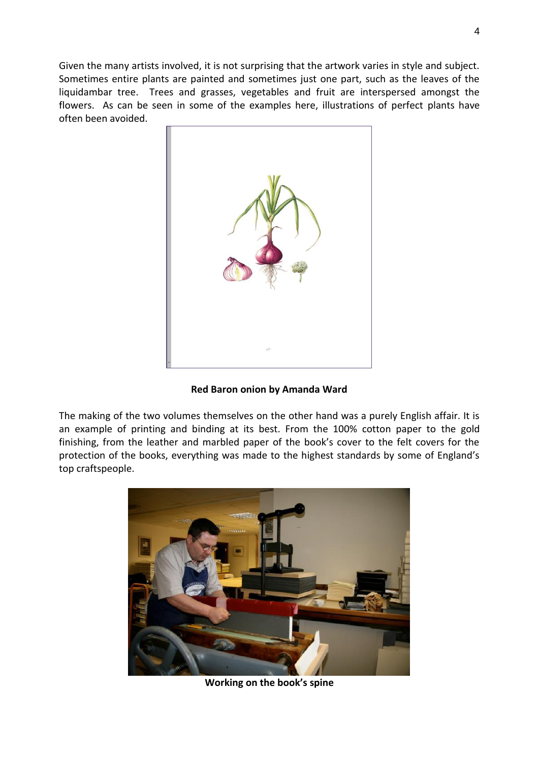Given the many artists involved, it is not surprising that the artwork varies in style and subject. Sometimes entire plants are painted and sometimes just one part, such as the leaves of the liquidambar tree. Trees and grasses, vegetables and fruit are interspersed amongst the flowers. As can be seen in some of the examples here, illustrations of perfect plants have often been avoided.



**Red Baron onion by Amanda Ward** 

The making of the two volumes themselves on the other hand was a purely English affair. It is an example of printing and binding at its best. From the 100% cotton paper to the gold finishing, from the leather and marbled paper of the book's cover to the felt covers for the protection of the books, everything was made to the highest standards by some of England's top craftspeople.



**Working on the book's spine**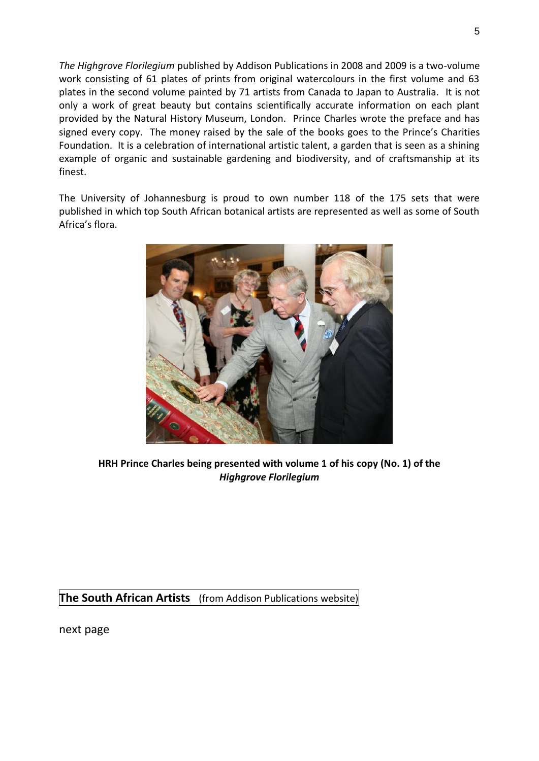*The Highgrove Florilegium* published by Addison Publications in 2008 and 2009 is a two-volume work consisting of 61 plates of prints from original watercolours in the first volume and 63 plates in the second volume painted by 71 artists from Canada to Japan to Australia. It is not only a work of great beauty but contains scientifically accurate information on each plant provided by the Natural History Museum, London. Prince Charles wrote the preface and has signed every copy. The money raised by the sale of the books goes to the Prince's Charities Foundation. It is a celebration of international artistic talent, a garden that is seen as a shining example of organic and sustainable gardening and biodiversity, and of craftsmanship at its finest.

The University of Johannesburg is proud to own number 118 of the 175 sets that were published in which top South African botanical artists are represented as well as some of South Africa's flora.



**HRH Prince Charles being presented with volume 1 of his copy (No. 1) of the**  *Highgrove Florilegium* 

**The South African Artists** (from Addison Publications website)

next page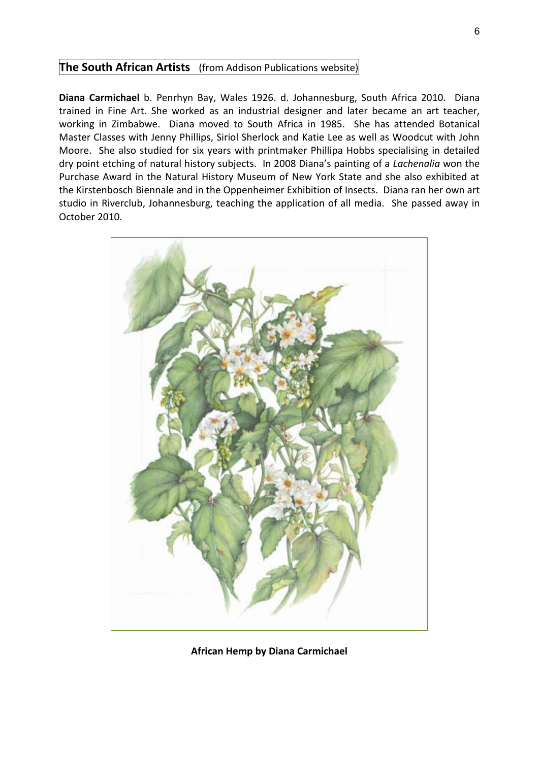## **The South African Artists** (from Addison Publications website)

**Diana Carmichael** b. Penrhyn Bay, Wales 1926. d. Johannesburg, South Africa 2010. Diana trained in Fine Art. She worked as an industrial designer and later became an art teacher, working in Zimbabwe. Diana moved to South Africa in 1985. She has attended Botanical Master Classes with Jenny Phillips, Siriol Sherlock and Katie Lee as well as Woodcut with John Moore. She also studied for six years with printmaker Phillipa Hobbs specialising in detailed dry point etching of natural history subjects. In 2008 Diana's painting of a *Lachenalia* won the Purchase Award in the Natural History Museum of New York State and she also exhibited at the Kirstenbosch Biennale and in the Oppenheimer Exhibition of Insects. Diana ran her own art studio in Riverclub, Johannesburg, teaching the application of all media. She passed away in October 2010.



**African Hemp by Diana Carmichael**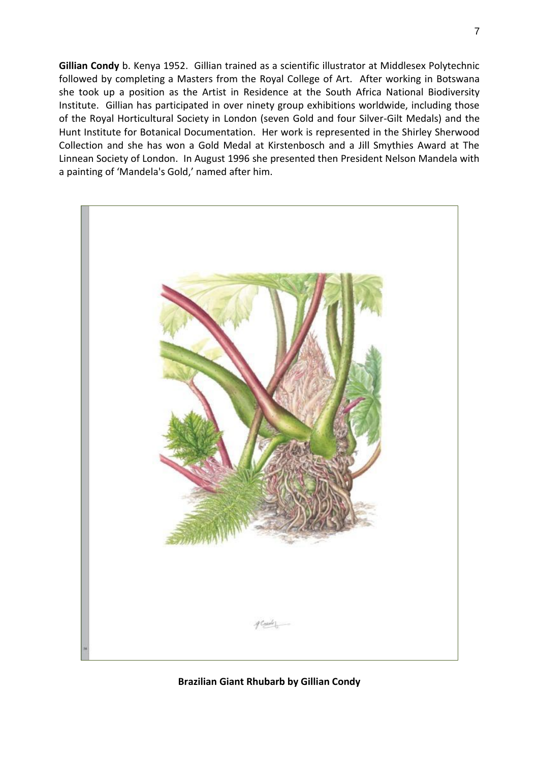**Gillian Condy** b. Kenya 1952. Gillian trained as a scientific illustrator at Middlesex Polytechnic followed by completing a Masters from the Royal College of Art. After working in Botswana she took up a position as the Artist in Residence at the South Africa National Biodiversity Institute. Gillian has participated in over ninety group exhibitions worldwide, including those of the Royal Horticultural Society in London (seven Gold and four Silver-Gilt Medals) and the Hunt Institute for Botanical Documentation. Her work is represented in the Shirley Sherwood Collection and she has won a Gold Medal at Kirstenbosch and a Jill Smythies Award at The Linnean Society of London. In August 1996 she presented then President Nelson Mandela with a painting of 'Mandela's Gold,' named after him.



### **Brazilian Giant Rhubarb by Gillian Condy**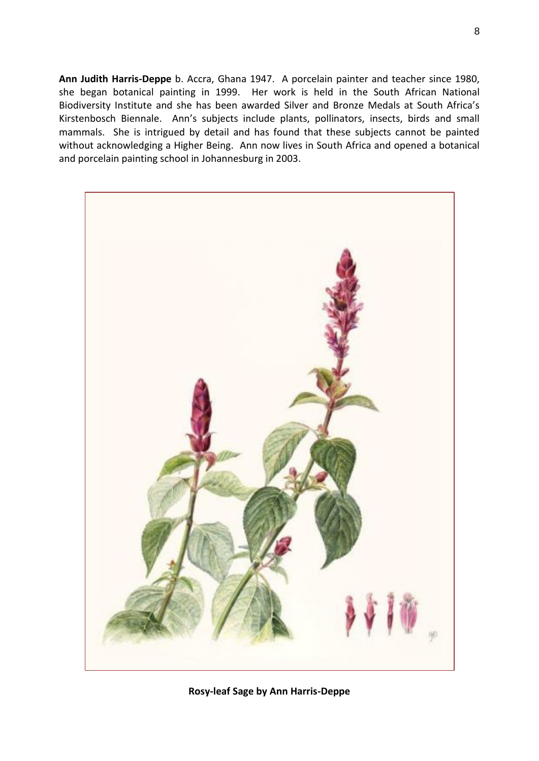**Ann Judith Harris-Deppe** b. Accra, Ghana 1947. A porcelain painter and teacher since 1980, she began botanical painting in 1999. Her work is held in the South African National Biodiversity Institute and she has been awarded Silver and Bronze Medals at South Africa's Kirstenbosch Biennale. Ann's subjects include plants, pollinators, insects, birds and small mammals. She is intrigued by detail and has found that these subjects cannot be painted without acknowledging a Higher Being. Ann now lives in South Africa and opened a botanical and porcelain painting school in Johannesburg in 2003.



**Rosy-leaf Sage by Ann Harris-Deppe**